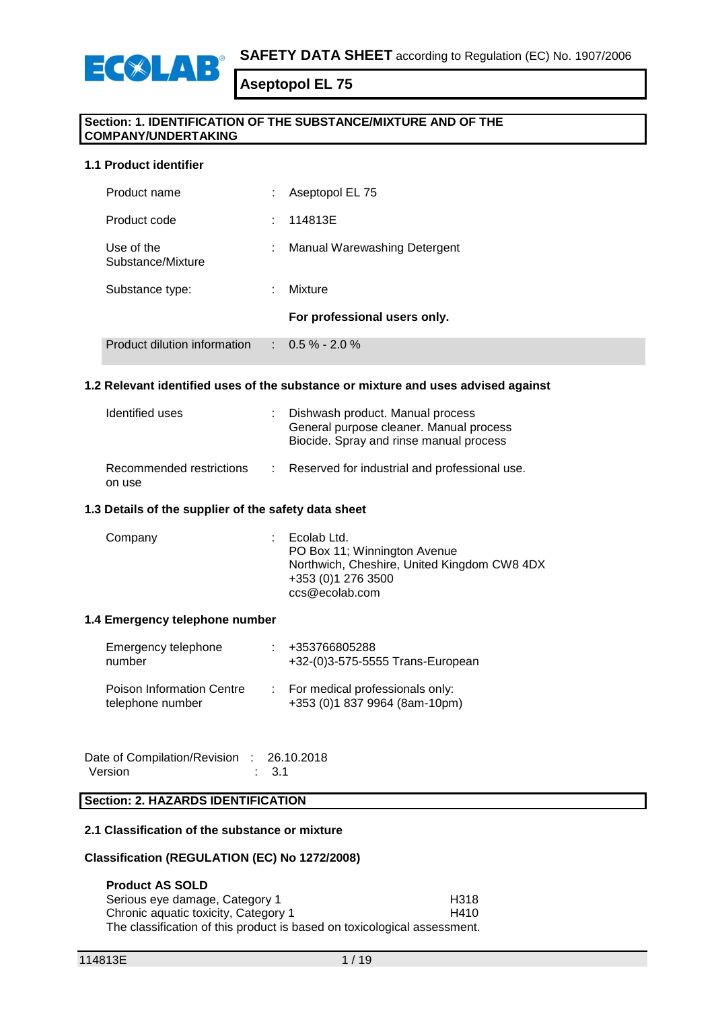

# **Section: 1. IDENTIFICATION OF THE SUBSTANCE/MIXTURE AND OF THE COMPANY/UNDERTAKING**

### **1.1 Product identifier**

ECSLAP

| Product name                    | ÷  | Aseptopol EL 75              |
|---------------------------------|----|------------------------------|
| Product code                    | t. | 114813E                      |
| Use of the<br>Substance/Mixture | ÷. | Manual Warewashing Detergent |
| Substance type:                 |    | Mixture                      |
|                                 |    | For professional users only. |
| Product dilution information    |    | $\therefore$ 0.5 % - 2.0 %   |

## **1.2 Relevant identified uses of the substance or mixture and uses advised against**

| Identified uses                    | : Dishwash product. Manual process<br>General purpose cleaner. Manual process<br>Biocide. Spray and rinse manual process |
|------------------------------------|--------------------------------------------------------------------------------------------------------------------------|
| Recommended restrictions<br>on use | : Reserved for industrial and professional use.                                                                          |

#### **1.3 Details of the supplier of the safety data sheet**

| +353 (0) 1 276 3500<br>ccs@ecolab.com | Company | Ecolab Ltd.<br>PO Box 11; Winnington Avenue<br>Northwich, Cheshire, United Kingdom CW8 4DX |
|---------------------------------------|---------|--------------------------------------------------------------------------------------------|
|---------------------------------------|---------|--------------------------------------------------------------------------------------------|

### **1.4 Emergency telephone number**

| Emergency telephone<br>number                        | : +353766805288<br>+32-(0)3-575-5555 Trans-European                |
|------------------------------------------------------|--------------------------------------------------------------------|
| <b>Poison Information Centre</b><br>telephone number | : For medical professionals only:<br>+353 (0)1 837 9964 (8am-10pm) |

Date of Compilation/Revision : 26.10.2018 Version : 3.1

# **Section: 2. HAZARDS IDENTIFICATION**

#### **2.1 Classification of the substance or mixture**

#### **Classification (REGULATION (EC) No 1272/2008)**

**Product AS SOLD** Serious eye damage, Category 1 entitled and the H318<br>Chronic aquatic toxicity. Category 1 entitled and H410 Chronic aquatic toxicity, Category 1 The classification of this product is based on toxicological assessment.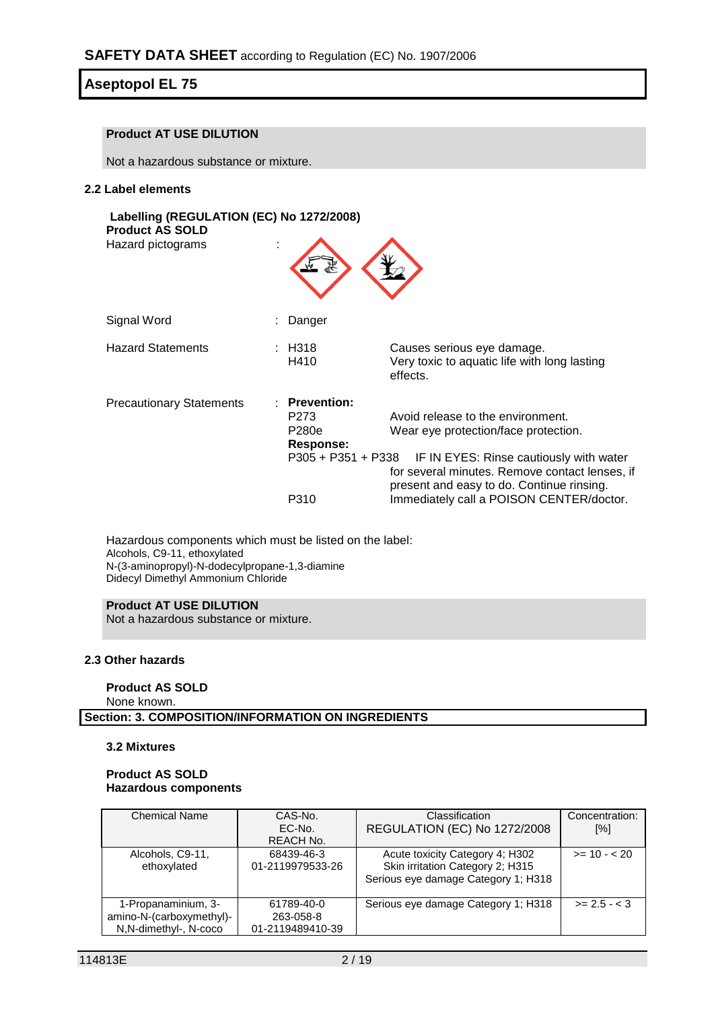# **Product AT USE DILUTION**

Not a hazardous substance or mixture.

#### **2.2 Label elements**

| Labelling (REGULATION (EC) No 1272/2008)<br><b>Product AS SOLD</b><br>Hazard pictograms | ÷ |                                                                                |                                                                                                                                                                                                                                                                 |
|-----------------------------------------------------------------------------------------|---|--------------------------------------------------------------------------------|-----------------------------------------------------------------------------------------------------------------------------------------------------------------------------------------------------------------------------------------------------------------|
| Signal Word                                                                             |   | Danger                                                                         |                                                                                                                                                                                                                                                                 |
| <b>Hazard Statements</b>                                                                |   | : H318<br>H410                                                                 | Causes serious eye damage.<br>Very toxic to aquatic life with long lasting<br>effects.                                                                                                                                                                          |
| <b>Precautionary Statements</b>                                                         |   | <b>Prevention:</b><br>P273<br>P280e<br>Response:<br>P305 + P351 + P338<br>P310 | Avoid release to the environment.<br>Wear eye protection/face protection.<br>IF IN EYES: Rinse cautiously with water<br>for several minutes. Remove contact lenses, if<br>present and easy to do. Continue rinsing.<br>Immediately call a POISON CENTER/doctor. |

Hazardous components which must be listed on the label: Alcohols, C9-11, ethoxylated N-(3-aminopropyl)-N-dodecylpropane-1,3-diamine Didecyl Dimethyl Ammonium Chloride

# **Product AT USE DILUTION**

Not a hazardous substance or mixture.

### **2.3 Other hazards**

#### **Product AS SOLD**

None known.

**Section: 3. COMPOSITION/INFORMATION ON INGREDIENTS**

#### **3.2 Mixtures**

#### **Product AS SOLD Hazardous components**

| <b>Chemical Name</b>     | CAS-No.          | Classification                      | Concentration: |
|--------------------------|------------------|-------------------------------------|----------------|
|                          | EC-No.           | REGULATION (EC) No 1272/2008        | [%]            |
|                          | REACH No.        |                                     |                |
| Alcohols, C9-11,         | 68439-46-3       | Acute toxicity Category 4; H302     | $>= 10 - 20$   |
| ethoxylated              | 01-2119979533-26 | Skin irritation Category 2; H315    |                |
|                          |                  | Serious eye damage Category 1; H318 |                |
|                          |                  |                                     |                |
| 1-Propanaminium, 3-      | 61789-40-0       | Serious eye damage Category 1; H318 | $>= 2.5 - < 3$ |
| amino-N-(carboxymethyl)- | 263-058-8        |                                     |                |
| N,N-dimethyl-, N-coco    | 01-2119489410-39 |                                     |                |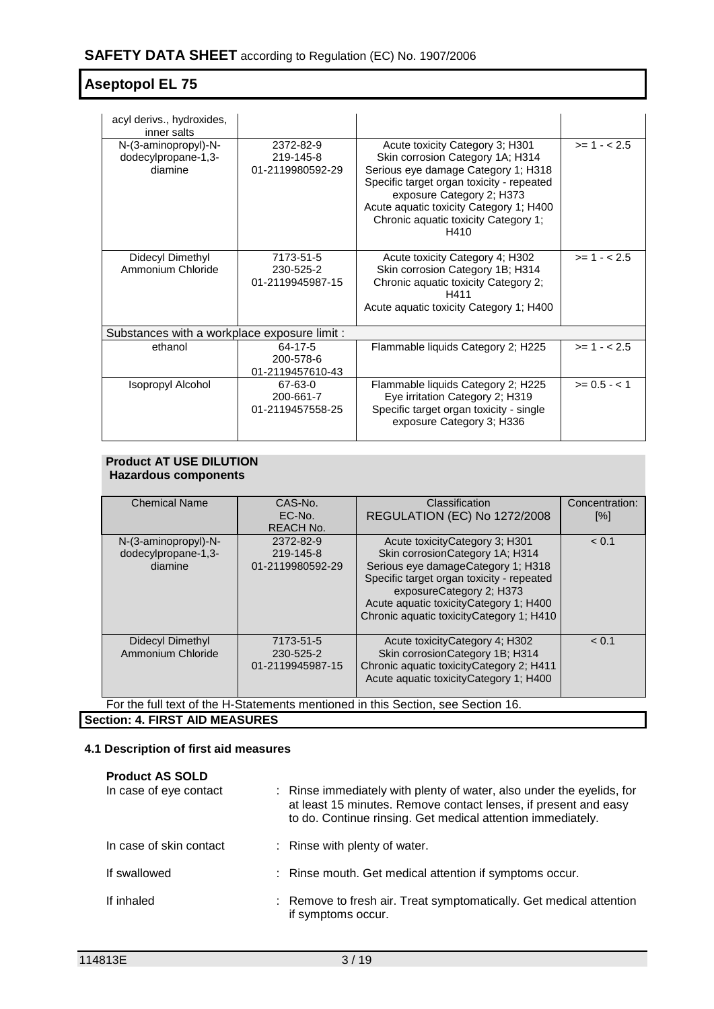| acyl derivs., hydroxides,<br>inner salts               |                                            |                                                                                                                                                                                                                                                                                 |              |
|--------------------------------------------------------|--------------------------------------------|---------------------------------------------------------------------------------------------------------------------------------------------------------------------------------------------------------------------------------------------------------------------------------|--------------|
| N-(3-aminopropyl)-N-<br>dodecylpropane-1,3-<br>diamine | 2372-82-9<br>219-145-8<br>01-2119980592-29 | Acute toxicity Category 3; H301<br>Skin corrosion Category 1A; H314<br>Serious eye damage Category 1; H318<br>Specific target organ toxicity - repeated<br>exposure Category 2; H373<br>Acute aquatic toxicity Category 1; H400<br>Chronic aquatic toxicity Category 1;<br>H410 | $>= 1 - 2.5$ |
| Didecyl Dimethyl<br>Ammonium Chloride                  | 7173-51-5<br>230-525-2<br>01-2119945987-15 | Acute toxicity Category 4; H302<br>Skin corrosion Category 1B; H314<br>Chronic aquatic toxicity Category 2;<br>H411<br>Acute aquatic toxicity Category 1; H400                                                                                                                  | $>= 1 - 2.5$ |
| Substances with a workplace exposure limit :           |                                            |                                                                                                                                                                                                                                                                                 |              |
| ethanol                                                | 64-17-5<br>200-578-6<br>01-2119457610-43   | Flammable liquids Category 2; H225                                                                                                                                                                                                                                              | $>= 1 - 2.5$ |
| Isopropyl Alcohol                                      | 67-63-0<br>200-661-7<br>01-2119457558-25   | Flammable liquids Category 2; H225<br>Eye irritation Category 2; H319<br>Specific target organ toxicity - single<br>exposure Category 3; H336                                                                                                                                   | $>= 0.5 - 1$ |

# **Product AT USE DILUTION Hazardous components**

| <b>Chemical Name</b>                  | CAS-No.          | Classification                                                                   | Concentration: |  |  |
|---------------------------------------|------------------|----------------------------------------------------------------------------------|----------------|--|--|
|                                       | $EC-No.$         | <b>REGULATION (EC) No 1272/2008</b>                                              | [%]            |  |  |
|                                       | <b>REACH No.</b> |                                                                                  |                |  |  |
| N-(3-aminopropyl)-N-                  | 2372-82-9        | Acute toxicityCategory 3; H301                                                   | < 0.1          |  |  |
| dodecylpropane-1,3-                   | 219-145-8        | Skin corrosion Category 1A; H314                                                 |                |  |  |
| diamine                               | 01-2119980592-29 | Serious eye damageCategory 1; H318                                               |                |  |  |
|                                       |                  | Specific target organ toxicity - repeated                                        |                |  |  |
|                                       |                  | exposureCategory 2; H373                                                         |                |  |  |
|                                       |                  | Acute aquatic toxicity Category 1; H400                                          |                |  |  |
|                                       |                  | Chronic aquatic toxicity Category 1; H410                                        |                |  |  |
|                                       |                  |                                                                                  |                |  |  |
| Didecyl Dimethyl                      | 7173-51-5        | Acute toxicity Category 4; H302                                                  | < 0.1          |  |  |
| Ammonium Chloride                     | 230-525-2        | Skin corrosion Category 1B; H314                                                 |                |  |  |
|                                       | 01-2119945987-15 | Chronic aquatic toxicityCategory 2; H411                                         |                |  |  |
|                                       |                  | Acute aquatic toxicity Category 1; H400                                          |                |  |  |
|                                       |                  |                                                                                  |                |  |  |
|                                       |                  | For the full text of the H-Statements mentioned in this Section, see Section 16. |                |  |  |
| <b>Section: 4. FIRST AID MEASURES</b> |                  |                                                                                  |                |  |  |

# **4.1 Description of first aid measures**

| <b>Product AS SOLD</b><br>In case of eye contact | : Rinse immediately with plenty of water, also under the eyelids, for<br>at least 15 minutes. Remove contact lenses, if present and easy<br>to do. Continue rinsing. Get medical attention immediately. |
|--------------------------------------------------|---------------------------------------------------------------------------------------------------------------------------------------------------------------------------------------------------------|
| In case of skin contact                          | : Rinse with plenty of water.                                                                                                                                                                           |
| If swallowed                                     | : Rinse mouth. Get medical attention if symptoms occur.                                                                                                                                                 |
| If inhaled                                       | : Remove to fresh air. Treat symptomatically. Get medical attention<br>if symptoms occur.                                                                                                               |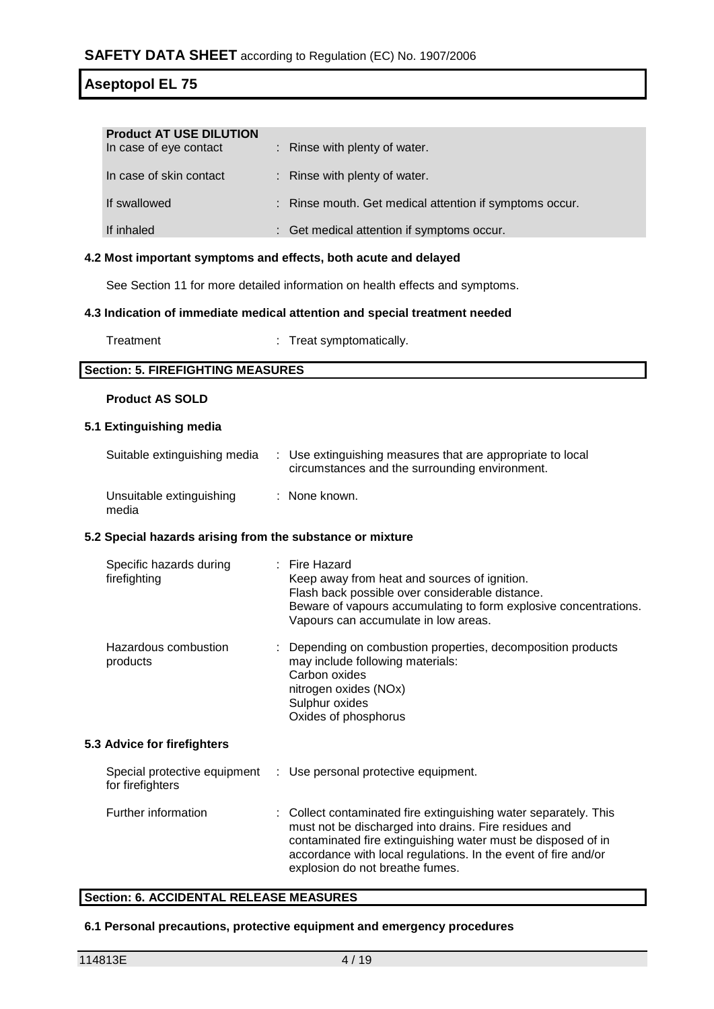| <b>Product AT USE DILUTION</b><br>In case of eye contact | : Rinse with plenty of water.                           |
|----------------------------------------------------------|---------------------------------------------------------|
| In case of skin contact                                  | : Rinse with plenty of water.                           |
| If swallowed                                             | : Rinse mouth. Get medical attention if symptoms occur. |
| If inhaled                                               | : Get medical attention if symptoms occur.              |

#### **4.2 Most important symptoms and effects, both acute and delayed**

See Section 11 for more detailed information on health effects and symptoms.

#### **4.3 Indication of immediate medical attention and special treatment needed**

Treatment : Treat symptomatically.

### **Section: 5. FIREFIGHTING MEASURES**

### **Product AS SOLD**

#### **5.1 Extinguishing media**

media

| Suitable extinguishing media | : Use extinguishing measures that are appropriate to local<br>circumstances and the surrounding environment. |
|------------------------------|--------------------------------------------------------------------------------------------------------------|
| Unsuitable extinguishing     | : None known.                                                                                                |

#### **5.2 Special hazards arising from the substance or mixture**

| Specific hazards during<br>firefighting          | $:$ Fire Hazard<br>Keep away from heat and sources of ignition.<br>Flash back possible over considerable distance.<br>Beware of vapours accumulating to form explosive concentrations.<br>Vapours can accumulate in low areas. |
|--------------------------------------------------|--------------------------------------------------------------------------------------------------------------------------------------------------------------------------------------------------------------------------------|
| Hazardous combustion<br>products                 | : Depending on combustion properties, decomposition products<br>may include following materials:<br>Carbon oxides<br>nitrogen oxides (NOx)<br>Sulphur oxides<br>Oxides of phosphorus                                           |
| 5.3 Advice for firefighters                      |                                                                                                                                                                                                                                |
| Special protective equipment<br>for firefighters | : Use personal protective equipment.                                                                                                                                                                                           |
| Further information                              | : Collect contaminated fire extinguishing water separately. This<br>must not be disoberged into droing. Fire residuos and                                                                                                      |

# must not be discharged into drains. Fire residues and contaminated fire extinguishing water must be disposed of in accordance with local regulations. In the event of fire and/or explosion do not breathe fumes.

# **Section: 6. ACCIDENTAL RELEASE MEASURES**

#### **6.1 Personal precautions, protective equipment and emergency procedures**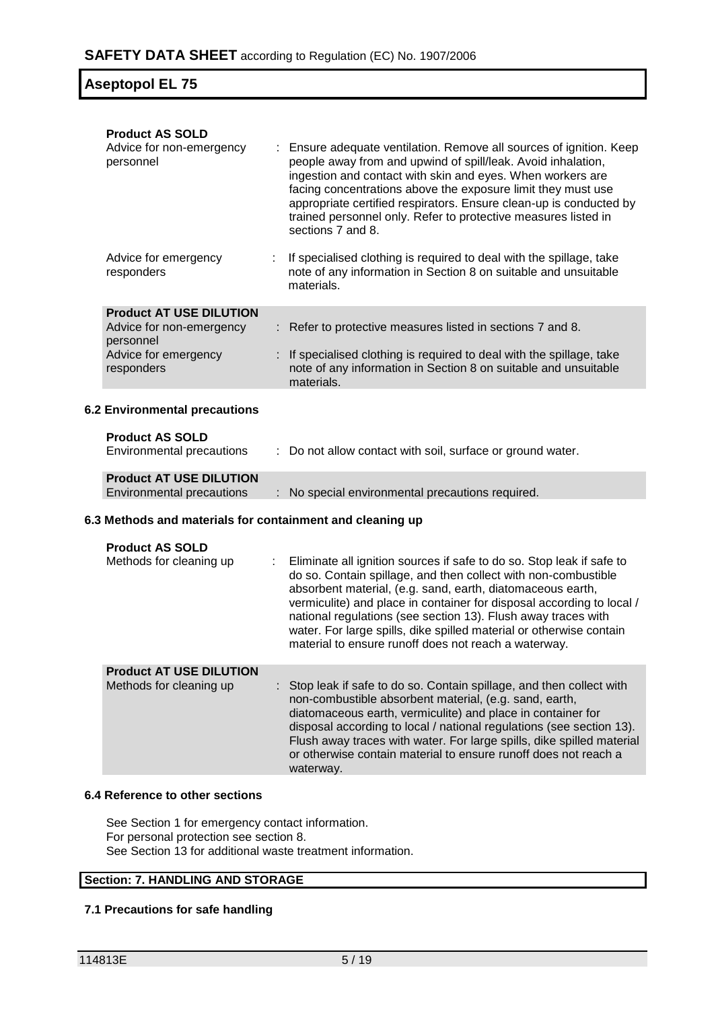| <b>Product AS SOLD</b>                                             |                                                                                                                                                                                                                                                                                                                                                                                                                                                                                |
|--------------------------------------------------------------------|--------------------------------------------------------------------------------------------------------------------------------------------------------------------------------------------------------------------------------------------------------------------------------------------------------------------------------------------------------------------------------------------------------------------------------------------------------------------------------|
| Advice for non-emergency<br>personnel                              | Ensure adequate ventilation. Remove all sources of ignition. Keep<br>people away from and upwind of spill/leak. Avoid inhalation,<br>ingestion and contact with skin and eyes. When workers are<br>facing concentrations above the exposure limit they must use<br>appropriate certified respirators. Ensure clean-up is conducted by<br>trained personnel only. Refer to protective measures listed in<br>sections 7 and 8.                                                   |
| Advice for emergency<br>responders                                 | If specialised clothing is required to deal with the spillage, take<br>note of any information in Section 8 on suitable and unsuitable<br>materials.                                                                                                                                                                                                                                                                                                                           |
| <b>Product AT USE DILUTION</b>                                     |                                                                                                                                                                                                                                                                                                                                                                                                                                                                                |
| Advice for non-emergency<br>personnel                              | : Refer to protective measures listed in sections 7 and 8.                                                                                                                                                                                                                                                                                                                                                                                                                     |
| Advice for emergency<br>responders                                 | If specialised clothing is required to deal with the spillage, take<br>note of any information in Section 8 on suitable and unsuitable<br>materials.                                                                                                                                                                                                                                                                                                                           |
| <b>6.2 Environmental precautions</b>                               |                                                                                                                                                                                                                                                                                                                                                                                                                                                                                |
|                                                                    |                                                                                                                                                                                                                                                                                                                                                                                                                                                                                |
| <b>Product AS SOLD</b>                                             |                                                                                                                                                                                                                                                                                                                                                                                                                                                                                |
| Environmental precautions                                          | : Do not allow contact with soil, surface or ground water.                                                                                                                                                                                                                                                                                                                                                                                                                     |
|                                                                    |                                                                                                                                                                                                                                                                                                                                                                                                                                                                                |
| <b>Product AT USE DILUTION</b><br><b>Environmental precautions</b> | : No special environmental precautions required.                                                                                                                                                                                                                                                                                                                                                                                                                               |
| 6.3 Methods and materials for containment and cleaning up          |                                                                                                                                                                                                                                                                                                                                                                                                                                                                                |
|                                                                    |                                                                                                                                                                                                                                                                                                                                                                                                                                                                                |
| <b>Product AS SOLD</b><br>Methods for cleaning up                  | Eliminate all ignition sources if safe to do so. Stop leak if safe to<br>do so. Contain spillage, and then collect with non-combustible<br>absorbent material, (e.g. sand, earth, diatomaceous earth,<br>vermiculite) and place in container for disposal according to local /<br>national regulations (see section 13). Flush away traces with<br>water. For large spills, dike spilled material or otherwise contain<br>material to ensure runoff does not reach a waterway. |
| <b>Product AT USE DILUTION</b><br>Methods for cleaning up          | Stop leak if safe to do so. Contain spillage, and then collect with<br>non-combustible absorbent material, (e.g. sand, earth,<br>diatomaceous earth, vermiculite) and place in container for<br>disposal according to local / national regulations (see section 13).<br>Flush away traces with water. For large spills, dike spilled material<br>or otherwise contain material to ensure runoff does not reach a<br>waterway.                                                  |

# **6.4 Reference to other sections**

See Section 1 for emergency contact information. For personal protection see section 8. See Section 13 for additional waste treatment information.

# **Section: 7. HANDLING AND STORAGE**

# **7.1 Precautions for safe handling**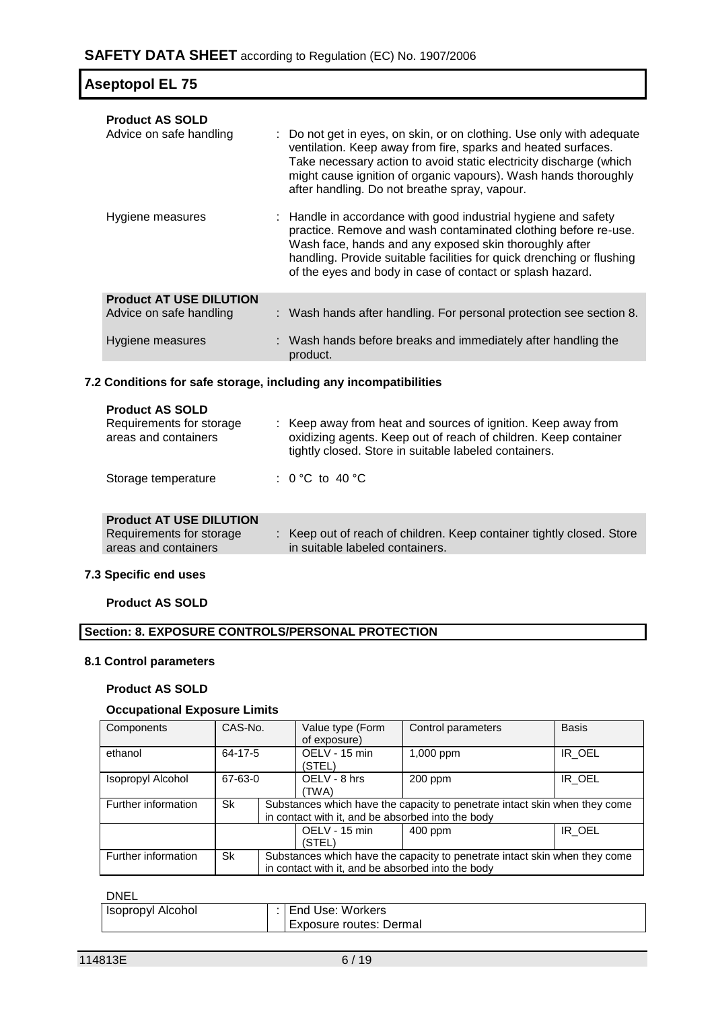| Aseptopol EL 75                                                               |  |                                                                                                                                                                                                                                                                                                                                  |  |  |
|-------------------------------------------------------------------------------|--|----------------------------------------------------------------------------------------------------------------------------------------------------------------------------------------------------------------------------------------------------------------------------------------------------------------------------------|--|--|
| <b>Product AS SOLD</b><br>Advice on safe handling                             |  | : Do not get in eyes, on skin, or on clothing. Use only with adequate<br>ventilation. Keep away from fire, sparks and heated surfaces.<br>Take necessary action to avoid static electricity discharge (which<br>might cause ignition of organic vapours). Wash hands thoroughly<br>after handling. Do not breathe spray, vapour. |  |  |
| Hygiene measures                                                              |  | : Handle in accordance with good industrial hygiene and safety<br>practice. Remove and wash contaminated clothing before re-use.<br>Wash face, hands and any exposed skin thoroughly after<br>handling. Provide suitable facilities for quick drenching or flushing<br>of the eyes and body in case of contact or splash hazard. |  |  |
| <b>Product AT USE DILUTION</b><br>Advice on safe handling<br>Hygiene measures |  | : Wash hands after handling. For personal protection see section 8.<br>: Wash hands before breaks and immediately after handling the<br>product.                                                                                                                                                                                 |  |  |
|                                                                               |  |                                                                                                                                                                                                                                                                                                                                  |  |  |

# **7.2 Conditions for safe storage, including any incompatibilities**

| <b>Product AS SOLD</b><br>Requirements for storage<br>areas and containers | : Keep away from heat and sources of ignition. Keep away from<br>oxidizing agents. Keep out of reach of children. Keep container<br>tightly closed. Store in suitable labeled containers. |
|----------------------------------------------------------------------------|-------------------------------------------------------------------------------------------------------------------------------------------------------------------------------------------|
| Storage temperature                                                        | : 0 °C to 40 °C                                                                                                                                                                           |
|                                                                            |                                                                                                                                                                                           |

| <b>Product AT USE DILUTION</b> |  |  |
|--------------------------------|--|--|
|                                |  |  |

| Requirements for storage | Keep out of reach of children. Keep container tightly closed. Store |
|--------------------------|---------------------------------------------------------------------|
| areas and containers     | in suitable labeled containers.                                     |
|                          |                                                                     |

### **7.3 Specific end uses**

**Product AS SOLD**

# **Section: 8. EXPOSURE CONTROLS/PERSONAL PROTECTION**

### **8.1 Control parameters**

### **Product AS SOLD**

# **Occupational Exposure Limits**

| Components          | CAS-No.   |  |                                                   |                                                                            | Value type (Form<br>Control parameters<br>of exposure) |  | <b>Basis</b> |  |
|---------------------|-----------|--|---------------------------------------------------|----------------------------------------------------------------------------|--------------------------------------------------------|--|--------------|--|
| ethanol             | 64-17-5   |  | OELV - 15 min<br>(STEL)                           | 1,000 ppm                                                                  | IR OEL                                                 |  |              |  |
| Isopropyl Alcohol   | 67-63-0   |  | OELV - 8 hrs<br>(TWA)                             | $200$ ppm                                                                  | IR OEL                                                 |  |              |  |
| Further information | <b>Sk</b> |  | in contact with it, and be absorbed into the body | Substances which have the capacity to penetrate intact skin when they come |                                                        |  |              |  |
|                     |           |  | OELV - 15 min<br>(STEL)                           | 400 ppm                                                                    | IR OEL                                                 |  |              |  |
| Further information | <b>Sk</b> |  | in contact with it, and be absorbed into the body | Substances which have the capacity to penetrate intact skin when they come |                                                        |  |              |  |

#### DNEL

| -----              |  |                          |  |  |
|--------------------|--|--------------------------|--|--|
| Hisopropyl Alcohol |  | <b>End Use: Workers</b>  |  |  |
|                    |  | LExposure routes: Dermal |  |  |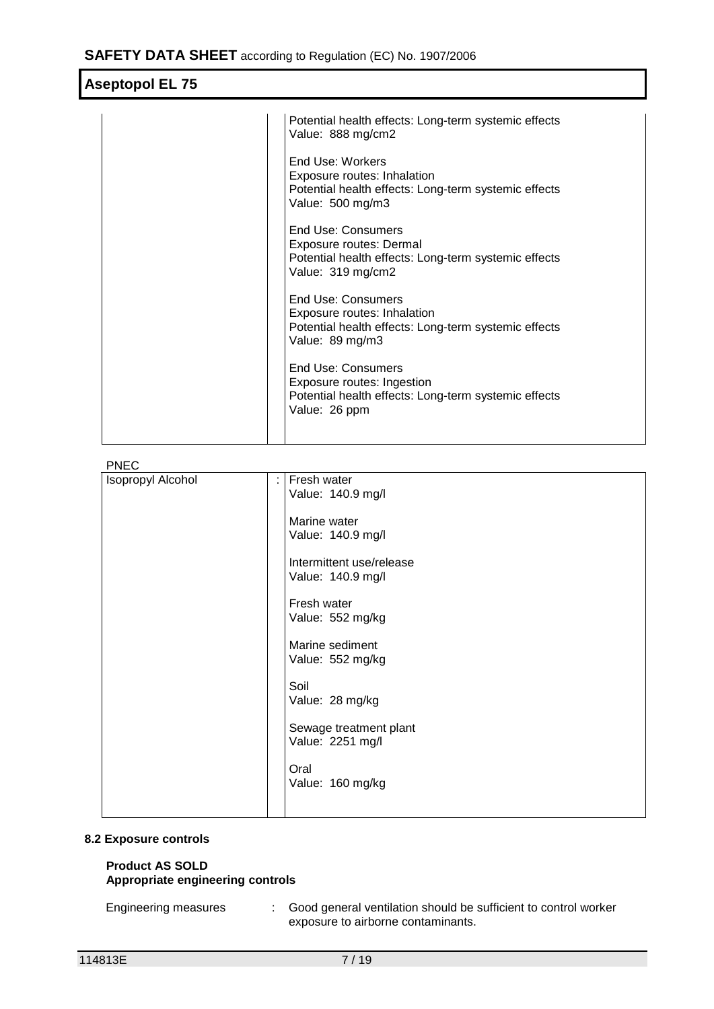| Potential health effects: Long-term systemic effects<br>Value: 888 mg/cm2                                                    |
|------------------------------------------------------------------------------------------------------------------------------|
| End Use: Workers<br>Exposure routes: Inhalation<br>Potential health effects: Long-term systemic effects<br>Value: 500 mg/m3  |
| End Use: Consumers<br>Exposure routes: Dermal<br>Potential health effects: Long-term systemic effects<br>Value: 319 mg/cm2   |
| End Use: Consumers<br>Exposure routes: Inhalation<br>Potential health effects: Long-term systemic effects<br>Value: 89 mg/m3 |
| End Use: Consumers<br>Exposure routes: Ingestion<br>Potential health effects: Long-term systemic effects<br>Value: 26 ppm    |
|                                                                                                                              |

PNEC

| Isopropyl Alcohol | Fresh water<br>÷<br>Value: 140.9 mg/l         |
|-------------------|-----------------------------------------------|
|                   | Marine water<br>Value: 140.9 mg/l             |
|                   | Intermittent use/release<br>Value: 140.9 mg/l |
|                   | Fresh water<br>Value: 552 mg/kg               |
|                   | Marine sediment<br>Value: 552 mg/kg           |
|                   | Soil<br>Value: 28 mg/kg                       |
|                   | Sewage treatment plant<br>Value: 2251 mg/l    |
|                   | Oral<br>Value: 160 mg/kg                      |
|                   |                                               |

# **8.2 Exposure controls**

### **Product AS SOLD Appropriate engineering controls**

Engineering measures : Good general ventilation should be sufficient to control worker exposure to airborne contaminants.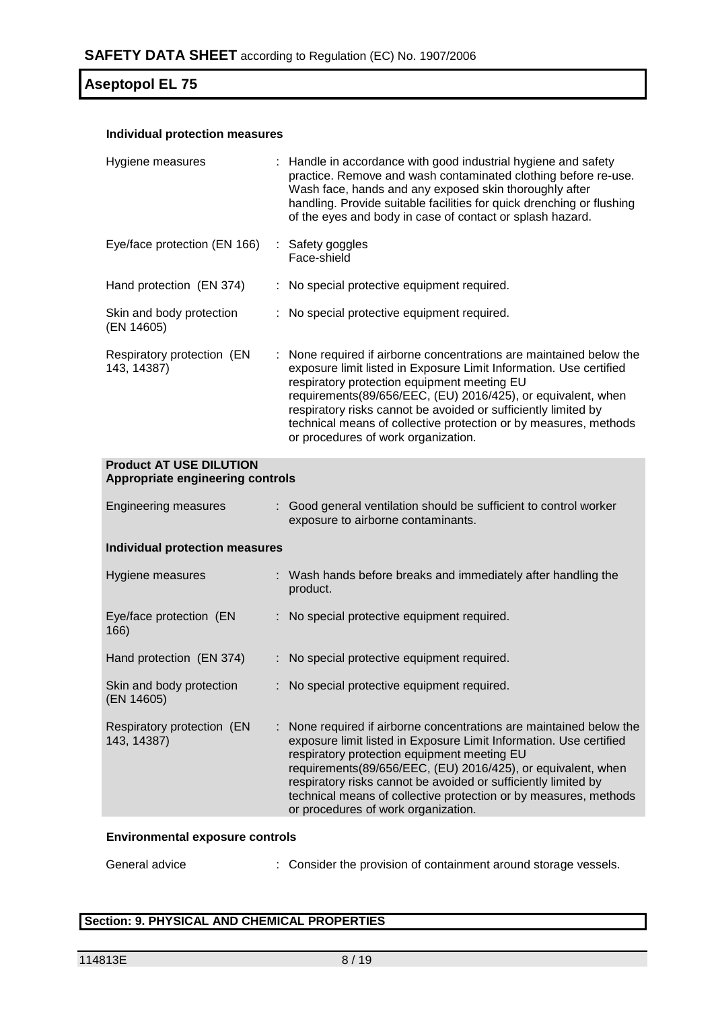# **Individual protection measures**

| Hygiene measures                                                   |  | : Handle in accordance with good industrial hygiene and safety<br>practice. Remove and wash contaminated clothing before re-use.<br>Wash face, hands and any exposed skin thoroughly after<br>handling. Provide suitable facilities for quick drenching or flushing<br>of the eyes and body in case of contact or splash hazard.                                                                                                    |  |  |
|--------------------------------------------------------------------|--|-------------------------------------------------------------------------------------------------------------------------------------------------------------------------------------------------------------------------------------------------------------------------------------------------------------------------------------------------------------------------------------------------------------------------------------|--|--|
| Eye/face protection (EN 166)                                       |  | : Safety goggles<br>Face-shield                                                                                                                                                                                                                                                                                                                                                                                                     |  |  |
| Hand protection (EN 374)                                           |  | : No special protective equipment required.                                                                                                                                                                                                                                                                                                                                                                                         |  |  |
| Skin and body protection<br>(EN 14605)                             |  | : No special protective equipment required.                                                                                                                                                                                                                                                                                                                                                                                         |  |  |
| Respiratory protection (EN<br>143, 14387)                          |  | None required if airborne concentrations are maintained below the<br>exposure limit listed in Exposure Limit Information. Use certified<br>respiratory protection equipment meeting EU<br>requirements(89/656/EEC, (EU) 2016/425), or equivalent, when<br>respiratory risks cannot be avoided or sufficiently limited by<br>technical means of collective protection or by measures, methods<br>or procedures of work organization. |  |  |
| <b>Product AT USE DILUTION</b><br>Appropriate engineering controls |  |                                                                                                                                                                                                                                                                                                                                                                                                                                     |  |  |
| <b>Engineering measures</b>                                        |  | : Good general ventilation should be sufficient to control worker<br>exposure to airborne contaminants.                                                                                                                                                                                                                                                                                                                             |  |  |
| <b>Individual protection measures</b>                              |  |                                                                                                                                                                                                                                                                                                                                                                                                                                     |  |  |
| Hygiene measures                                                   |  | : Wash hands before breaks and immediately after handling the<br>product.                                                                                                                                                                                                                                                                                                                                                           |  |  |
| Eye/face protection (EN<br>166)                                    |  | : No special protective equipment required.                                                                                                                                                                                                                                                                                                                                                                                         |  |  |
| Hand protection (EN 374)                                           |  | : No special protective equipment required.                                                                                                                                                                                                                                                                                                                                                                                         |  |  |
| Skin and body protection<br>(EN 14605)                             |  | No special protective equipment required.                                                                                                                                                                                                                                                                                                                                                                                           |  |  |
| Respiratory protection (EN<br>143, 14387)                          |  | None required if airborne concentrations are maintained below the<br>exposure limit listed in Exposure Limit Information. Use certified<br>respiratory protection equipment meeting EU<br>requirements(89/656/EEC, (EU) 2016/425), or equivalent, when<br>respiratory risks cannot be avoided or sufficiently limited by<br>technical means of collective protection or by measures, methods<br>or procedures of work organization. |  |  |

## **Environmental exposure controls**

General advice : Consider the provision of containment around storage vessels.

# **Section: 9. PHYSICAL AND CHEMICAL PROPERTIES**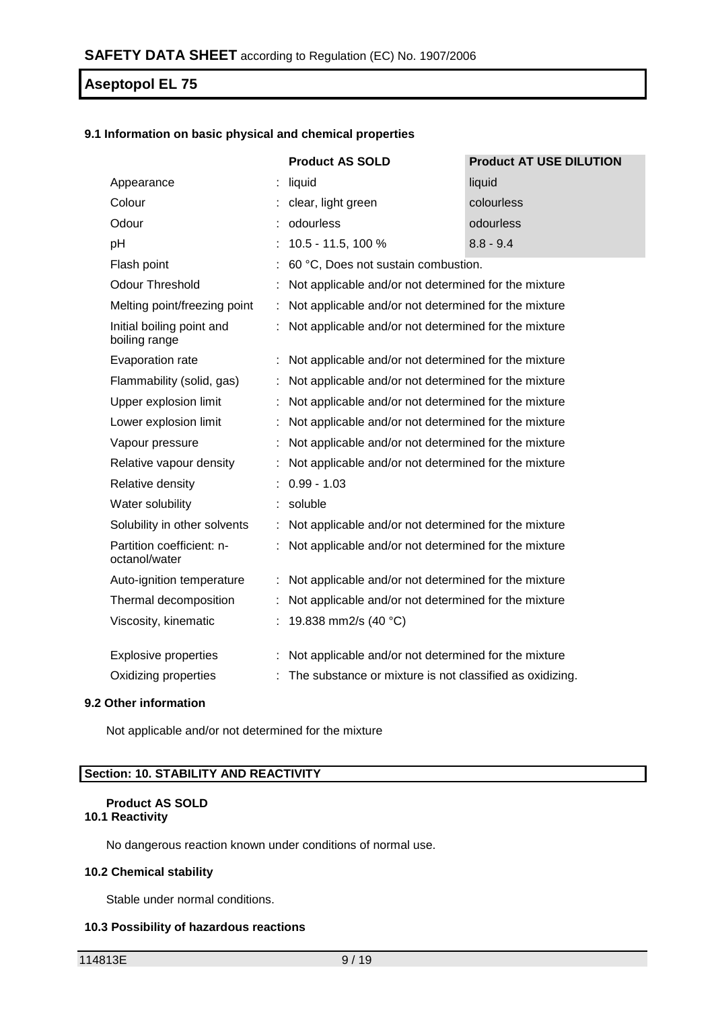### **9.1 Information on basic physical and chemical properties**

|                                            |   | <b>Product AS SOLD</b>                                   | <b>Product AT USE DILUTION</b> |
|--------------------------------------------|---|----------------------------------------------------------|--------------------------------|
| Appearance                                 |   | liquid                                                   | liquid                         |
| Colour                                     |   | clear, light green                                       | colourless                     |
| Odour                                      |   | odourless                                                | odourless                      |
| pH                                         |   | 10.5 - 11.5, 100 %                                       | $8.8 - 9.4$                    |
| Flash point                                |   | 60 °C, Does not sustain combustion.                      |                                |
| <b>Odour Threshold</b>                     |   | Not applicable and/or not determined for the mixture     |                                |
| Melting point/freezing point               |   | Not applicable and/or not determined for the mixture     |                                |
| Initial boiling point and<br>boiling range |   | Not applicable and/or not determined for the mixture     |                                |
| Evaporation rate                           |   | Not applicable and/or not determined for the mixture     |                                |
| Flammability (solid, gas)                  |   | Not applicable and/or not determined for the mixture     |                                |
| Upper explosion limit                      |   | Not applicable and/or not determined for the mixture     |                                |
| Lower explosion limit                      |   | Not applicable and/or not determined for the mixture     |                                |
| Vapour pressure                            |   | Not applicable and/or not determined for the mixture     |                                |
| Relative vapour density                    | ÷ | Not applicable and/or not determined for the mixture     |                                |
| Relative density                           |   | $0.99 - 1.03$                                            |                                |
| Water solubility                           |   | soluble                                                  |                                |
| Solubility in other solvents               |   | Not applicable and/or not determined for the mixture     |                                |
| Partition coefficient: n-<br>octanol/water |   | Not applicable and/or not determined for the mixture     |                                |
| Auto-ignition temperature                  |   | Not applicable and/or not determined for the mixture     |                                |
| Thermal decomposition                      |   | Not applicable and/or not determined for the mixture     |                                |
| Viscosity, kinematic                       |   | 19.838 mm2/s (40 °C)                                     |                                |
| <b>Explosive properties</b>                |   | Not applicable and/or not determined for the mixture     |                                |
| Oxidizing properties                       |   | The substance or mixture is not classified as oxidizing. |                                |

# **9.2 Other information**

Not applicable and/or not determined for the mixture

# **Section: 10. STABILITY AND REACTIVITY**

#### **Product AS SOLD 10.1 Reactivity**

No dangerous reaction known under conditions of normal use.

### **10.2 Chemical stability**

Stable under normal conditions.

#### **10.3 Possibility of hazardous reactions**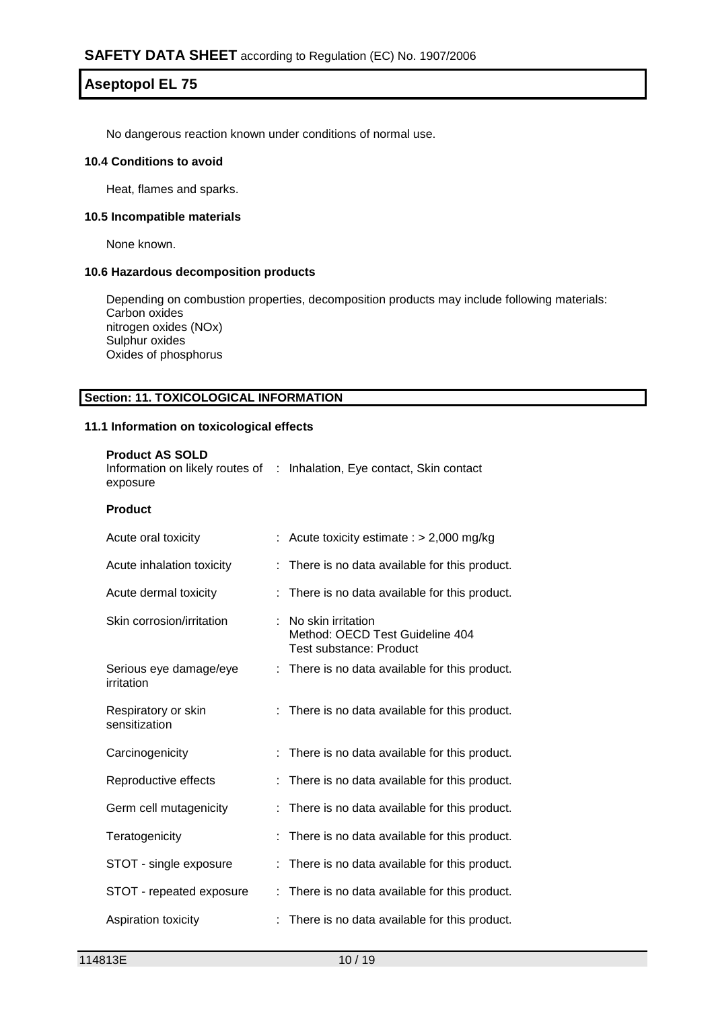No dangerous reaction known under conditions of normal use.

#### **10.4 Conditions to avoid**

Heat, flames and sparks.

#### **10.5 Incompatible materials**

None known.

### **10.6 Hazardous decomposition products**

Depending on combustion properties, decomposition products may include following materials: Carbon oxides nitrogen oxides (NOx) Sulphur oxides Oxides of phosphorus

### **Section: 11. TOXICOLOGICAL INFORMATION**

#### **11.1 Information on toxicological effects**

| <b>Product AS SOLD</b><br>exposure   | Information on likely routes of : Inhalation, Eye contact, Skin contact                 |
|--------------------------------------|-----------------------------------------------------------------------------------------|
| <b>Product</b>                       |                                                                                         |
| Acute oral toxicity                  | Acute toxicity estimate : $> 2,000$ mg/kg                                               |
| Acute inhalation toxicity            | There is no data available for this product.                                            |
| Acute dermal toxicity                | There is no data available for this product.                                            |
| Skin corrosion/irritation            | No skin irritation<br>Method: OECD Test Guideline 404<br><b>Test substance: Product</b> |
| Serious eye damage/eye<br>irritation | There is no data available for this product.                                            |
| Respiratory or skin<br>sensitization | There is no data available for this product.                                            |
| Carcinogenicity                      | There is no data available for this product.                                            |
| Reproductive effects                 | There is no data available for this product.                                            |
| Germ cell mutagenicity               | There is no data available for this product.                                            |
| Teratogenicity                       | There is no data available for this product.                                            |
| STOT - single exposure               | There is no data available for this product.                                            |
| STOT - repeated exposure             | There is no data available for this product.                                            |
| Aspiration toxicity                  | There is no data available for this product.                                            |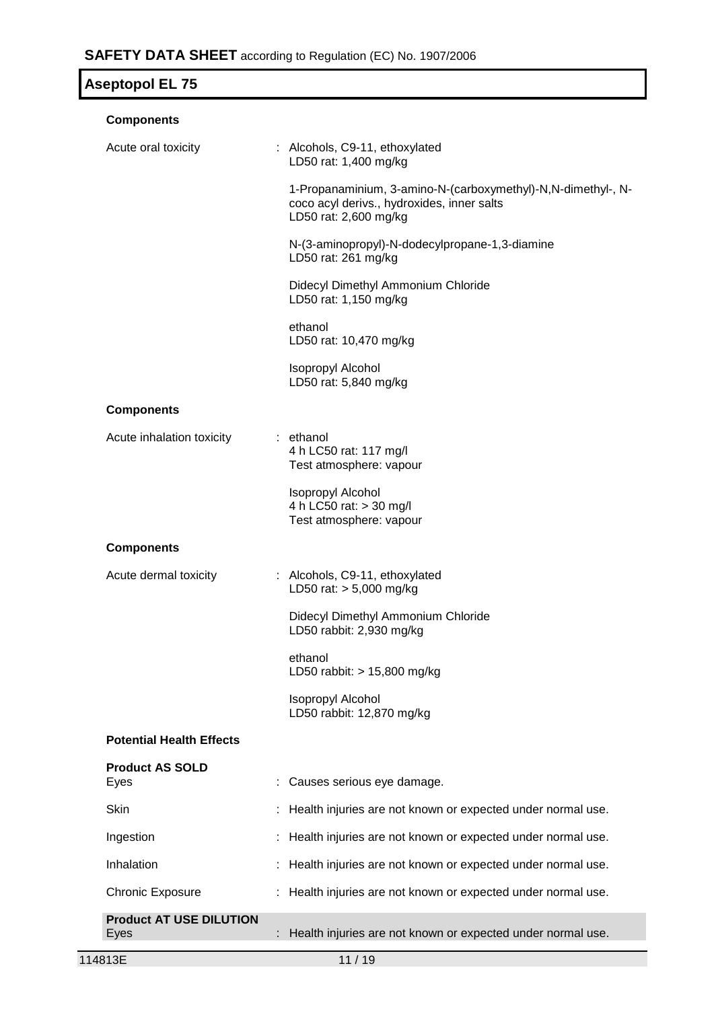| <b>Aseptopol EL 75</b>                 |                                                                                                                                     |
|----------------------------------------|-------------------------------------------------------------------------------------------------------------------------------------|
| <b>Components</b>                      |                                                                                                                                     |
| Acute oral toxicity                    | : Alcohols, C9-11, ethoxylated<br>LD50 rat: 1,400 mg/kg                                                                             |
|                                        | 1-Propanaminium, 3-amino-N-(carboxymethyl)-N,N-dimethyl-, N-<br>coco acyl derivs., hydroxides, inner salts<br>LD50 rat: 2,600 mg/kg |
|                                        | N-(3-aminopropyl)-N-dodecylpropane-1,3-diamine<br>LD50 rat: 261 mg/kg                                                               |
|                                        | Didecyl Dimethyl Ammonium Chloride<br>LD50 rat: 1,150 mg/kg                                                                         |
|                                        | ethanol<br>LD50 rat: 10,470 mg/kg                                                                                                   |
|                                        | Isopropyl Alcohol<br>LD50 rat: 5,840 mg/kg                                                                                          |
| <b>Components</b>                      |                                                                                                                                     |
| Acute inhalation toxicity              | : ethanol<br>4 h LC50 rat: 117 mg/l<br>Test atmosphere: vapour                                                                      |
|                                        | <b>Isopropyl Alcohol</b><br>4 h LC50 rat: > 30 mg/l<br>Test atmosphere: vapour                                                      |
| <b>Components</b>                      |                                                                                                                                     |
| Acute dermal toxicity                  | : Alcohols, C9-11, ethoxylated<br>LD50 rat: $> 5,000$ mg/kg                                                                         |
|                                        | Didecyl Dimethyl Ammonium Chloride<br>LD50 rabbit: 2,930 mg/kg                                                                      |
|                                        | ethanol<br>LD50 rabbit: > 15,800 mg/kg                                                                                              |
|                                        | <b>Isopropyl Alcohol</b><br>LD50 rabbit: 12,870 mg/kg                                                                               |
| <b>Potential Health Effects</b>        |                                                                                                                                     |
| <b>Product AS SOLD</b><br>Eyes         | Causes serious eye damage.                                                                                                          |
| <b>Skin</b>                            | Health injuries are not known or expected under normal use.                                                                         |
| Ingestion                              | Health injuries are not known or expected under normal use.                                                                         |
| Inhalation                             | Health injuries are not known or expected under normal use.                                                                         |
| <b>Chronic Exposure</b>                | Health injuries are not known or expected under normal use.                                                                         |
| <b>Product AT USE DILUTION</b><br>Eyes | : Health injuries are not known or expected under normal use.                                                                       |
|                                        |                                                                                                                                     |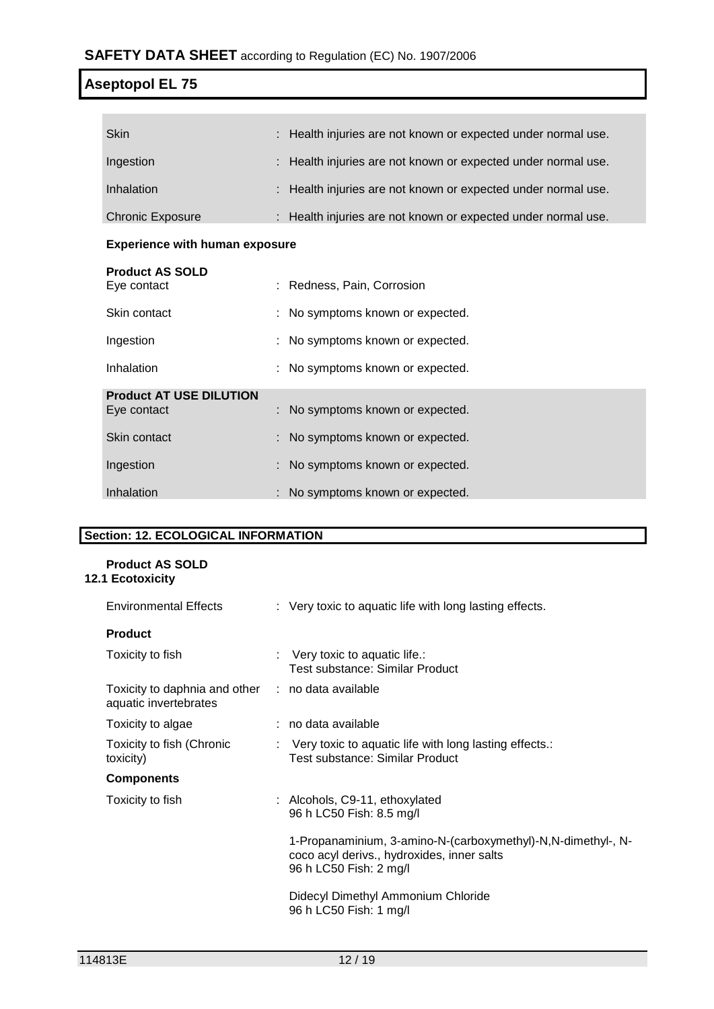**COL** 

| <b>Skin</b>             | : Health injuries are not known or expected under normal use. |
|-------------------------|---------------------------------------------------------------|
| Ingestion               | : Health injuries are not known or expected under normal use. |
| Inhalation              | : Health injuries are not known or expected under normal use. |
| <b>Chronic Exposure</b> | : Health injuries are not known or expected under normal use. |

# **Experience with human exposure**

| <b>Product AS SOLD</b><br>Eye contact         | : Redness, Pain, Corrosion       |
|-----------------------------------------------|----------------------------------|
| Skin contact                                  | : No symptoms known or expected. |
| Ingestion                                     | : No symptoms known or expected. |
| Inhalation                                    | : No symptoms known or expected. |
| <b>Product AT USE DILUTION</b><br>Eye contact | : No symptoms known or expected. |
| Skin contact                                  | : No symptoms known or expected. |
| Ingestion                                     | : No symptoms known or expected. |
| Inhalation                                    | : No symptoms known or expected. |

# **Section: 12. ECOLOGICAL INFORMATION**

# **Product AS SOLD 12.1 Ecotoxicity**

| <b>Environmental Effects</b>                                               | : Very toxic to aquatic life with long lasting effects.                                                                               |
|----------------------------------------------------------------------------|---------------------------------------------------------------------------------------------------------------------------------------|
| <b>Product</b>                                                             |                                                                                                                                       |
| Toxicity to fish                                                           | $\therefore$ Very toxic to aquatic life.:<br>Test substance: Similar Product                                                          |
| Toxicity to daphnia and other : no data available<br>aquatic invertebrates |                                                                                                                                       |
| Toxicity to algae                                                          | : no data available                                                                                                                   |
| Toxicity to fish (Chronic<br>toxicity)                                     | $\therefore$ Very toxic to aquatic life with long lasting effects.:<br>Test substance: Similar Product                                |
| <b>Components</b>                                                          |                                                                                                                                       |
| Toxicity to fish                                                           | : Alcohols, C9-11, ethoxylated<br>96 h LC50 Fish: 8.5 mg/l                                                                            |
|                                                                            | 1-Propanaminium, 3-amino-N-(carboxymethyl)-N, N-dimethyl-, N-<br>coco acyl derivs., hydroxides, inner salts<br>96 h LC50 Fish: 2 mg/l |
|                                                                            | Didecyl Dimethyl Ammonium Chloride<br>96 h LC50 Fish: 1 mg/l                                                                          |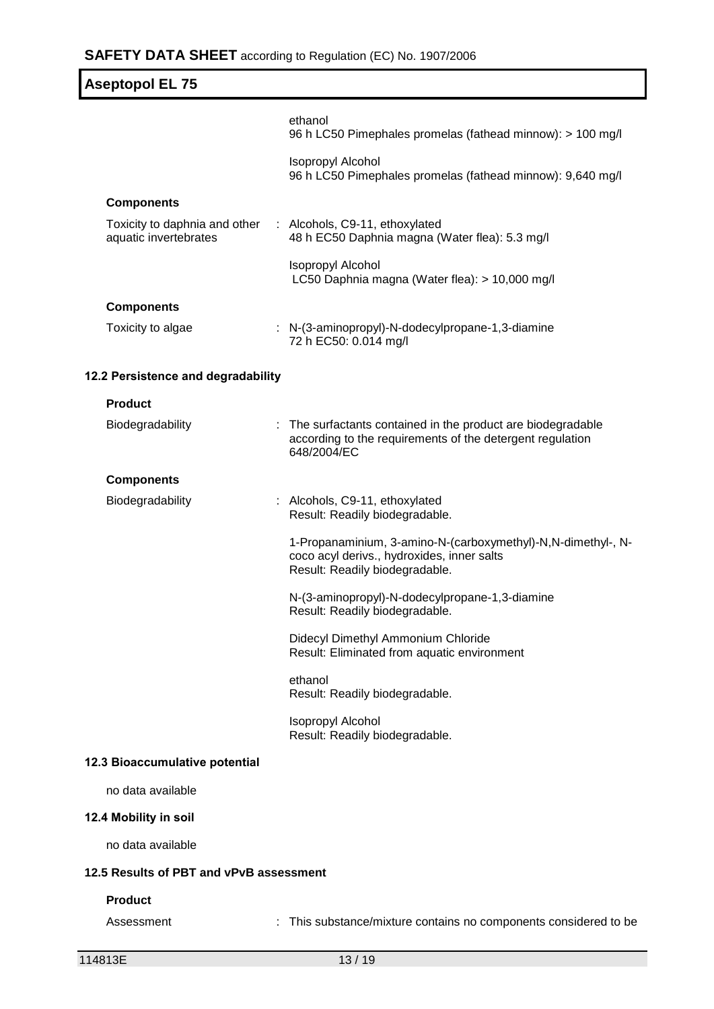| <b>Aseptopol EL 75</b>                                 |                                                                                                                                              |  |
|--------------------------------------------------------|----------------------------------------------------------------------------------------------------------------------------------------------|--|
|                                                        | ethanol<br>96 h LC50 Pimephales promelas (fathead minnow): > 100 mg/l                                                                        |  |
|                                                        | <b>Isopropyl Alcohol</b><br>96 h LC50 Pimephales promelas (fathead minnow): 9,640 mg/l                                                       |  |
| <b>Components</b>                                      |                                                                                                                                              |  |
| Toxicity to daphnia and other<br>aquatic invertebrates | : Alcohols, C9-11, ethoxylated<br>48 h EC50 Daphnia magna (Water flea): 5.3 mg/l                                                             |  |
|                                                        | <b>Isopropyl Alcohol</b><br>LC50 Daphnia magna (Water flea): > 10,000 mg/l                                                                   |  |
| <b>Components</b>                                      |                                                                                                                                              |  |
| Toxicity to algae                                      | : N-(3-aminopropyl)-N-dodecylpropane-1,3-diamine<br>72 h EC50: 0.014 mg/l                                                                    |  |
| 12.2 Persistence and degradability                     |                                                                                                                                              |  |
| <b>Product</b>                                         |                                                                                                                                              |  |
| Biodegradability                                       | : The surfactants contained in the product are biodegradable<br>according to the requirements of the detergent regulation<br>648/2004/EC     |  |
| <b>Components</b>                                      |                                                                                                                                              |  |
| Biodegradability                                       | : Alcohols, C9-11, ethoxylated<br>Result: Readily biodegradable.                                                                             |  |
|                                                        | 1-Propanaminium, 3-amino-N-(carboxymethyl)-N,N-dimethyl-, N-<br>coco acyl derivs., hydroxides, inner salts<br>Result: Readily biodegradable. |  |
|                                                        | N-(3-aminopropyl)-N-dodecylpropane-1,3-diamine<br>Result: Readily biodegradable.                                                             |  |
|                                                        | Didecyl Dimethyl Ammonium Chloride<br>Result: Eliminated from aquatic environment                                                            |  |
|                                                        | ethanol<br>Result: Readily biodegradable.                                                                                                    |  |
|                                                        | <b>Isopropyl Alcohol</b><br>Result: Readily biodegradable.                                                                                   |  |
| 12.3 Bioaccumulative potential                         |                                                                                                                                              |  |
| no data available                                      |                                                                                                                                              |  |
| 12.4 Mobility in soil                                  |                                                                                                                                              |  |
| no data available                                      |                                                                                                                                              |  |
| 12.5 Results of PBT and vPvB assessment                |                                                                                                                                              |  |
| <b>Product</b>                                         |                                                                                                                                              |  |

Assessment : This substance/mixture contains no components considered to be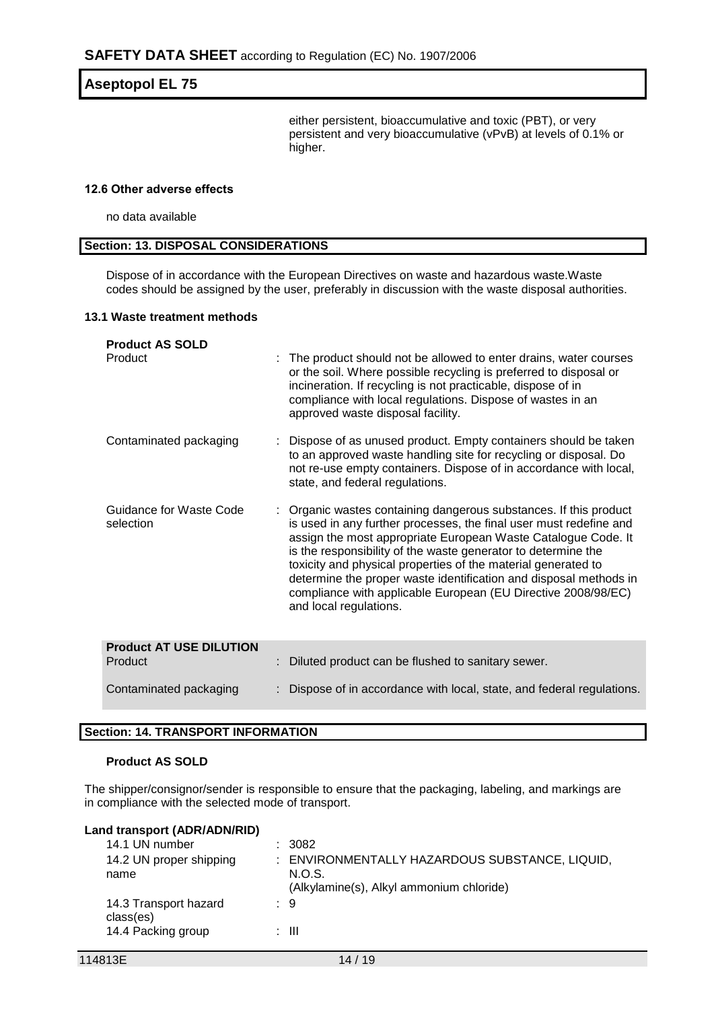either persistent, bioaccumulative and toxic (PBT), or very persistent and very bioaccumulative (vPvB) at levels of 0.1% or higher.

#### **12.6 Other adverse effects**

no data available

#### **Section: 13. DISPOSAL CONSIDERATIONS**

Dispose of in accordance with the European Directives on waste and hazardous waste.Waste codes should be assigned by the user, preferably in discussion with the waste disposal authorities.

#### **13.1 Waste treatment methods**

| <b>Product AS SOLD</b><br>Product         | The product should not be allowed to enter drains, water courses<br>or the soil. Where possible recycling is preferred to disposal or<br>incineration. If recycling is not practicable, dispose of in<br>compliance with local regulations. Dispose of wastes in an<br>approved waste disposal facility.                                                                                                                                                                                                   |
|-------------------------------------------|------------------------------------------------------------------------------------------------------------------------------------------------------------------------------------------------------------------------------------------------------------------------------------------------------------------------------------------------------------------------------------------------------------------------------------------------------------------------------------------------------------|
| Contaminated packaging                    | Dispose of as unused product. Empty containers should be taken<br>to an approved waste handling site for recycling or disposal. Do<br>not re-use empty containers. Dispose of in accordance with local,<br>state, and federal regulations.                                                                                                                                                                                                                                                                 |
| Guidance for Waste Code<br>selection      | : Organic wastes containing dangerous substances. If this product<br>is used in any further processes, the final user must redefine and<br>assign the most appropriate European Waste Catalogue Code. It<br>is the responsibility of the waste generator to determine the<br>toxicity and physical properties of the material generated to<br>determine the proper waste identification and disposal methods in<br>compliance with applicable European (EU Directive 2008/98/EC)<br>and local regulations. |
| <b>Product AT USE DILUTION</b><br>Product | Diluted product can be flushed to sanitary sewer.                                                                                                                                                                                                                                                                                                                                                                                                                                                          |
| Contaminated packaging                    | Dispose of in accordance with local, state, and federal regulations.                                                                                                                                                                                                                                                                                                                                                                                                                                       |

# **Section: 14. TRANSPORT INFORMATION**

# **Product AS SOLD**

The shipper/consignor/sender is responsible to ensure that the packaging, labeling, and markings are in compliance with the selected mode of transport.

#### **Land transport (ADR/ADN/RID)**

| 14.1 UN number                     | $\therefore$ 3082                                        |
|------------------------------------|----------------------------------------------------------|
| 14.2 UN proper shipping<br>name    | : ENVIRONMENTALLY HAZARDOUS SUBSTANCE, LIQUID,<br>N.O.S. |
|                                    | (Alkylamine(s), Alkyl ammonium chloride)                 |
| 14.3 Transport hazard<br>class(es) | : 9                                                      |
| 14.4 Packing group                 | : III                                                    |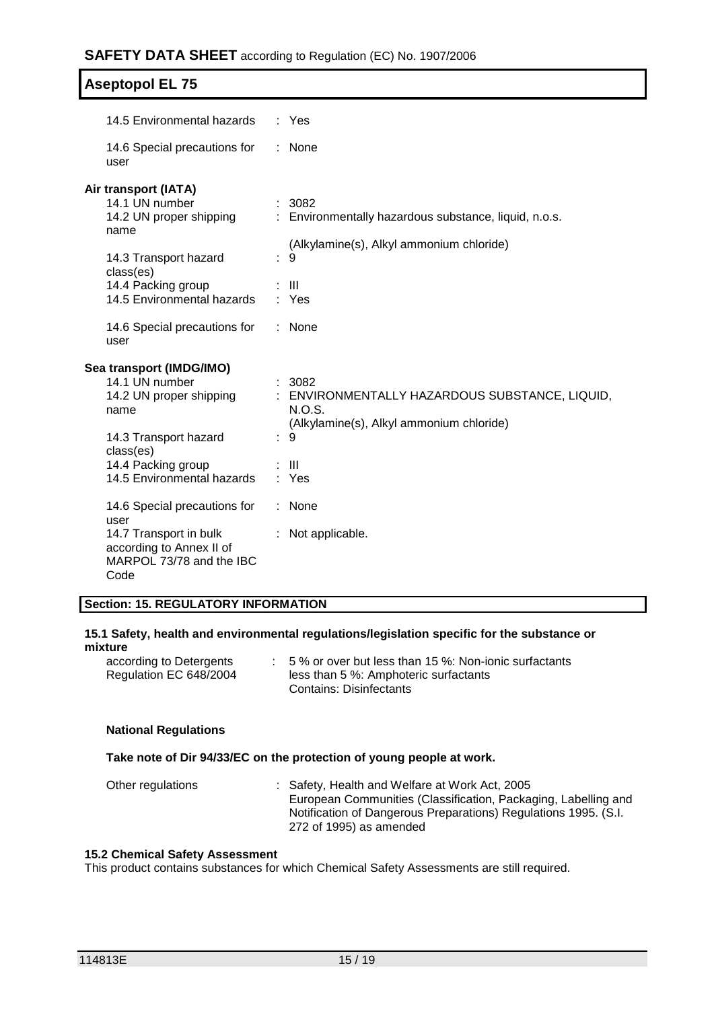| 14.5 Environmental hazards                                                                                                                                              | : Yes                                                                                                                                       |
|-------------------------------------------------------------------------------------------------------------------------------------------------------------------------|---------------------------------------------------------------------------------------------------------------------------------------------|
| 14.6 Special precautions for<br>user                                                                                                                                    | : None                                                                                                                                      |
| Air transport (IATA)<br>14.1 UN number<br>14.2 UN proper shipping<br>name<br>14.3 Transport hazard<br>class(es)<br>14.4 Packing group<br>14.5 Environmental hazards     | : 3082<br>: Environmentally hazardous substance, liquid, n.o.s.<br>(Alkylamine(s), Alkyl ammonium chloride)<br>: 9<br>: III<br>: Yes        |
| 14.6 Special precautions for<br>user                                                                                                                                    | : None                                                                                                                                      |
| Sea transport (IMDG/IMO)<br>14.1 UN number<br>14.2 UN proper shipping<br>name<br>14.3 Transport hazard<br>class(es)<br>14.4 Packing group<br>14.5 Environmental hazards | : 3082<br>: ENVIRONMENTALLY HAZARDOUS SUBSTANCE, LIQUID,<br>N.O.S.<br>(Alkylamine(s), Alkyl ammonium chloride)<br>9<br>÷.<br>: III<br>: Yes |
| 14.6 Special precautions for<br>user<br>14.7 Transport in bulk<br>according to Annex II of<br>MARPOL 73/78 and the IBC<br>Code                                          | $:$ None<br>: Not applicable.                                                                                                               |

# **Section: 15. REGULATORY INFORMATION**

#### **15.1 Safety, health and environmental regulations/legislation specific for the substance or mixture**

| according to Detergents | $\therefore$ 5 % or over but less than 15 %: Non-ionic surfactants |
|-------------------------|--------------------------------------------------------------------|
| Regulation EC 648/2004  | less than 5 %: Amphoteric surfactants                              |
|                         | Contains: Disinfectants                                            |

# **National Regulations**

### **Take note of Dir 94/33/EC on the protection of young people at work.**

| Other regulations | : Safety, Health and Welfare at Work Act, 2005                  |
|-------------------|-----------------------------------------------------------------|
|                   | European Communities (Classification, Packaging, Labelling and  |
|                   | Notification of Dangerous Preparations) Regulations 1995. (S.I. |
|                   | 272 of 1995) as amended                                         |

#### **15.2 Chemical Safety Assessment**

This product contains substances for which Chemical Safety Assessments are still required.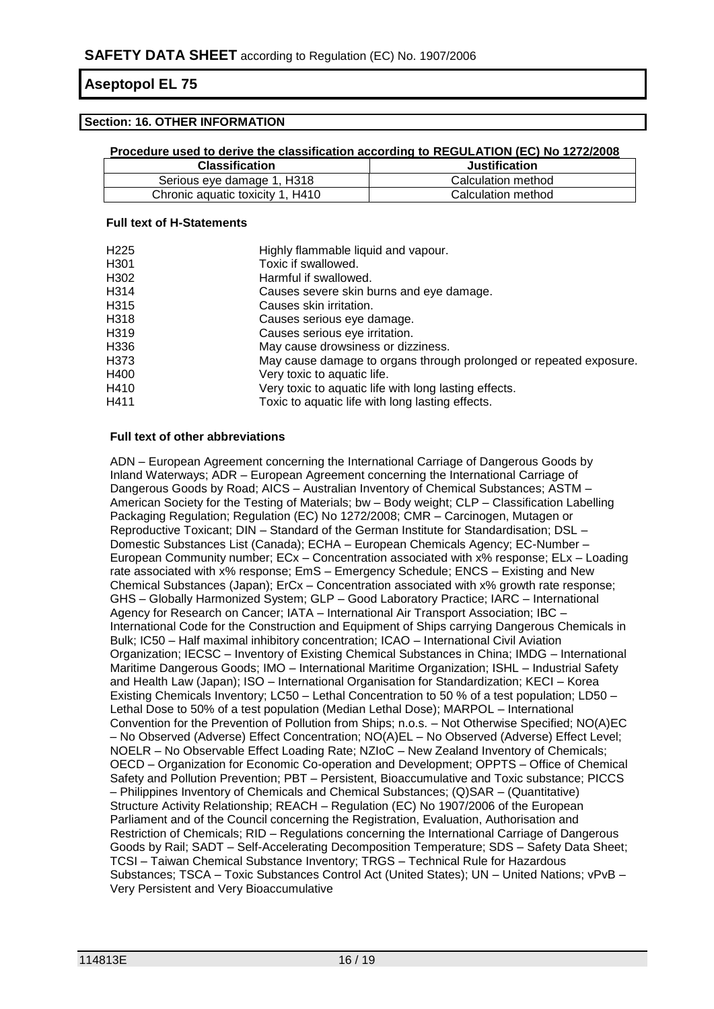### **Section: 16. OTHER INFORMATION**

#### **Procedure used to derive the classification according to REGULATION (EC) No 1272/2008**

| <b>Classification</b>            | <b>Justification</b> |
|----------------------------------|----------------------|
| Serious eye damage 1, H318       | Calculation method   |
| Chronic aquatic toxicity 1, H410 | Calculation method   |

#### **Full text of H-Statements**

| H225 | Highly flammable liquid and vapour.                                |
|------|--------------------------------------------------------------------|
| H301 | Toxic if swallowed.                                                |
| H302 | Harmful if swallowed.                                              |
| H314 | Causes severe skin burns and eye damage.                           |
| H315 | Causes skin irritation.                                            |
| H318 | Causes serious eye damage.                                         |
| H319 | Causes serious eye irritation.                                     |
| H336 | May cause drowsiness or dizziness.                                 |
| H373 | May cause damage to organs through prolonged or repeated exposure. |
| H400 | Very toxic to aquatic life.                                        |
| H410 | Very toxic to aquatic life with long lasting effects.              |
| H411 | Toxic to aquatic life with long lasting effects.                   |

#### **Full text of other abbreviations**

ADN – European Agreement concerning the International Carriage of Dangerous Goods by Inland Waterways; ADR – European Agreement concerning the International Carriage of Dangerous Goods by Road; AICS – Australian Inventory of Chemical Substances; ASTM – American Society for the Testing of Materials; bw – Body weight; CLP – Classification Labelling Packaging Regulation; Regulation (EC) No 1272/2008; CMR – Carcinogen, Mutagen or Reproductive Toxicant; DIN – Standard of the German Institute for Standardisation; DSL – Domestic Substances List (Canada); ECHA – European Chemicals Agency; EC-Number – European Community number; ECx – Concentration associated with x% response; ELx – Loading rate associated with x% response; EmS – Emergency Schedule; ENCS – Existing and New Chemical Substances (Japan); ErCx – Concentration associated with x% growth rate response; GHS – Globally Harmonized System; GLP – Good Laboratory Practice; IARC – International Agency for Research on Cancer; IATA – International Air Transport Association; IBC – International Code for the Construction and Equipment of Ships carrying Dangerous Chemicals in Bulk; IC50 – Half maximal inhibitory concentration; ICAO – International Civil Aviation Organization; IECSC – Inventory of Existing Chemical Substances in China; IMDG – International Maritime Dangerous Goods; IMO – International Maritime Organization; ISHL – Industrial Safety and Health Law (Japan); ISO – International Organisation for Standardization; KECI – Korea Existing Chemicals Inventory; LC50 – Lethal Concentration to 50 % of a test population; LD50 – Lethal Dose to 50% of a test population (Median Lethal Dose); MARPOL – International Convention for the Prevention of Pollution from Ships; n.o.s. – Not Otherwise Specified; NO(A)EC – No Observed (Adverse) Effect Concentration; NO(A)EL – No Observed (Adverse) Effect Level; NOELR – No Observable Effect Loading Rate; NZIoC – New Zealand Inventory of Chemicals; OECD – Organization for Economic Co-operation and Development; OPPTS – Office of Chemical Safety and Pollution Prevention; PBT – Persistent, Bioaccumulative and Toxic substance; PICCS – Philippines Inventory of Chemicals and Chemical Substances; (Q)SAR – (Quantitative) Structure Activity Relationship; REACH – Regulation (EC) No 1907/2006 of the European Parliament and of the Council concerning the Registration, Evaluation, Authorisation and Restriction of Chemicals; RID – Regulations concerning the International Carriage of Dangerous Goods by Rail; SADT – Self-Accelerating Decomposition Temperature; SDS – Safety Data Sheet; TCSI – Taiwan Chemical Substance Inventory; TRGS – Technical Rule for Hazardous Substances; TSCA – Toxic Substances Control Act (United States); UN – United Nations; vPvB – Very Persistent and Very Bioaccumulative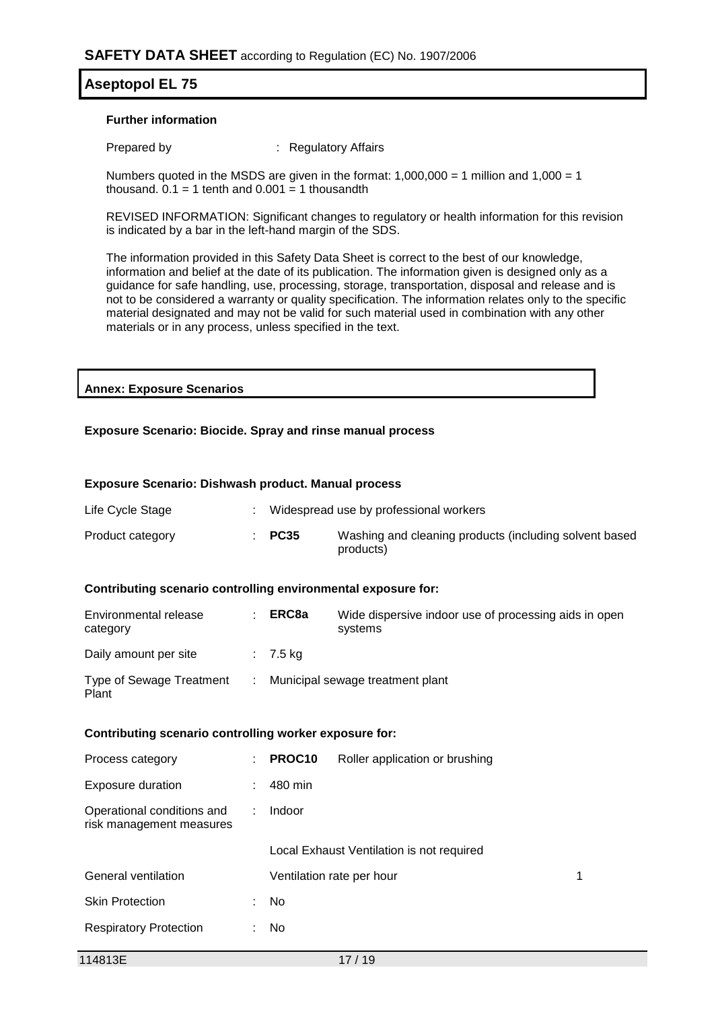#### **Further information**

Prepared by : Regulatory Affairs

Numbers quoted in the MSDS are given in the format:  $1,000,000 = 1$  million and  $1,000 = 1$ thousand.  $0.1 = 1$  tenth and  $0.001 = 1$  thousandth

REVISED INFORMATION: Significant changes to regulatory or health information for this revision is indicated by a bar in the left-hand margin of the SDS.

The information provided in this Safety Data Sheet is correct to the best of our knowledge, information and belief at the date of its publication. The information given is designed only as a guidance for safe handling, use, processing, storage, transportation, disposal and release and is not to be considered a warranty or quality specification. The information relates only to the specific material designated and may not be valid for such material used in combination with any other materials or in any process, unless specified in the text.

### **Annex: Exposure Scenarios**

#### **Exposure Scenario: Biocide. Spray and rinse manual process**

#### **Exposure Scenario: Dishwash product. Manual process**

| Life Cycle Stage |                   | Widespread use by professional workers                              |
|------------------|-------------------|---------------------------------------------------------------------|
| Product category | $\therefore$ PC35 | Washing and cleaning products (including solvent based<br>products) |

#### **Contributing scenario controlling environmental exposure for:**

| Environmental release<br>category | ERC8a               | Wide dispersive indoor use of processing aids in open<br>systems |
|-----------------------------------|---------------------|------------------------------------------------------------------|
| Daily amount per site             | $\therefore$ 7.5 kg |                                                                  |
| Type of Sewage Treatment<br>Plant |                     | Municipal sewage treatment plant                                 |

#### **Contributing scenario controlling worker exposure for:**

| ÷  | PROC <sub>10</sub> | Roller application or brushing |                                                                        |
|----|--------------------|--------------------------------|------------------------------------------------------------------------|
| t. | 480 min            |                                |                                                                        |
| ÷. | Indoor             |                                |                                                                        |
|    |                    |                                |                                                                        |
|    |                    |                                | 1                                                                      |
| ÷  | No.                |                                |                                                                        |
| ÷  | No                 |                                |                                                                        |
|    |                    |                                | Local Exhaust Ventilation is not required<br>Ventilation rate per hour |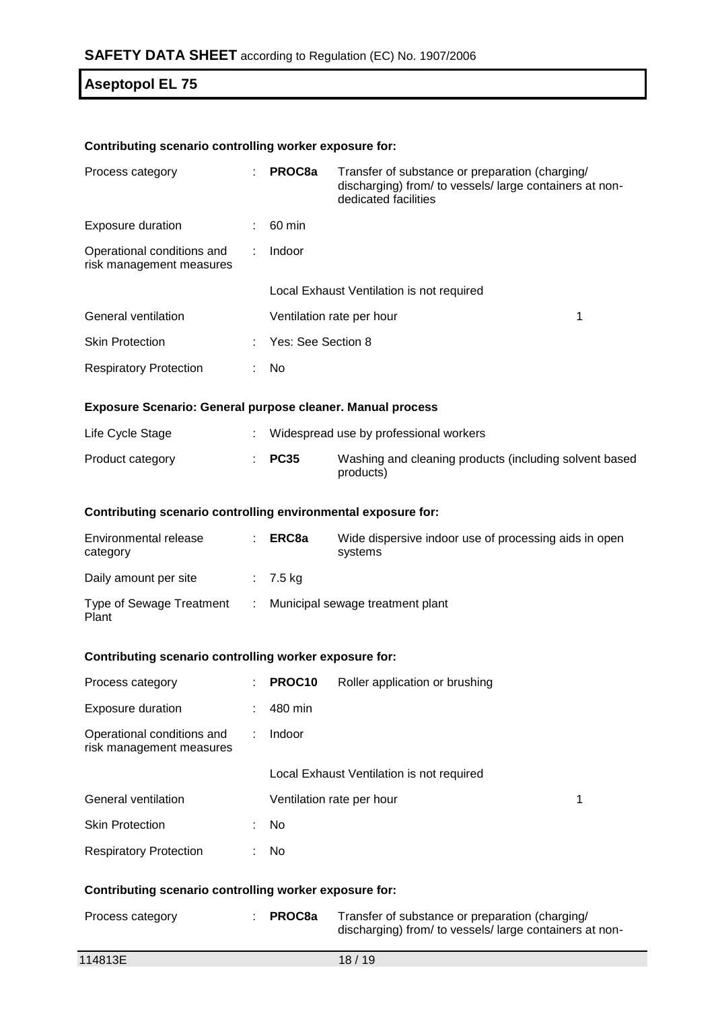### **Contributing scenario controlling worker exposure for:**

| Process category                                       | ÷ | PROC8a                    | Transfer of substance or preparation (charging/<br>discharging) from/ to vessels/large containers at non-<br>dedicated facilities |  |
|--------------------------------------------------------|---|---------------------------|-----------------------------------------------------------------------------------------------------------------------------------|--|
| <b>Exposure duration</b>                               |   | 60 min                    |                                                                                                                                   |  |
| Operational conditions and<br>risk management measures | ÷ | Indoor                    |                                                                                                                                   |  |
|                                                        |   |                           | Local Exhaust Ventilation is not required                                                                                         |  |
| General ventilation                                    |   | Ventilation rate per hour |                                                                                                                                   |  |
| <b>Skin Protection</b>                                 |   | : Yes: See Section 8      |                                                                                                                                   |  |
| <b>Respiratory Protection</b>                          |   | No                        |                                                                                                                                   |  |

#### **Exposure Scenario: General purpose cleaner. Manual process**

| Life Cycle Stage |                   | Widespread use by professional workers                              |
|------------------|-------------------|---------------------------------------------------------------------|
| Product category | $\therefore$ PC35 | Washing and cleaning products (including solvent based<br>products) |

### **Contributing scenario controlling environmental exposure for:**

| Environmental release<br>category | ERC8a      | Wide dispersive indoor use of processing aids in open<br>systems |
|-----------------------------------|------------|------------------------------------------------------------------|
| Daily amount per site             | $: 7.5$ kg |                                                                  |
| Type of Sewage Treatment<br>Plant |            | Municipal sewage treatment plant                                 |

#### **Contributing scenario controlling worker exposure for:**

| Process category                                       | ÷  | PROC <sub>10</sub>        | Roller application or brushing            |  |
|--------------------------------------------------------|----|---------------------------|-------------------------------------------|--|
| <b>Exposure duration</b>                               | ÷  | 480 min                   |                                           |  |
| Operational conditions and<br>risk management measures | ÷  | Indoor                    |                                           |  |
|                                                        |    |                           | Local Exhaust Ventilation is not required |  |
| General ventilation                                    |    | Ventilation rate per hour |                                           |  |
| <b>Skin Protection</b>                                 | ÷. | No.                       |                                           |  |
| <b>Respiratory Protection</b>                          | ÷. | No.                       |                                           |  |
|                                                        |    |                           |                                           |  |

### **Contributing scenario controlling worker exposure for:**